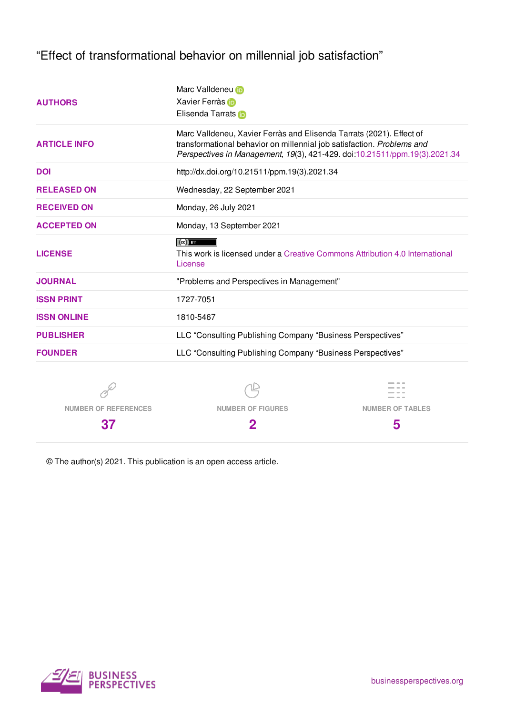"Effect of transformational behavior on millennial job satisfaction"

| <b>AUTHORS</b>      | Marc Valldeneu iD<br>Xavier Ferràs<br>Elisenda Tarrats in                                                                                                                                                                    |  |  |  |  |
|---------------------|------------------------------------------------------------------------------------------------------------------------------------------------------------------------------------------------------------------------------|--|--|--|--|
| <b>ARTICLE INFO</b> | Marc Valldeneu, Xavier Ferràs and Elisenda Tarrats (2021). Effect of<br>transformational behavior on millennial job satisfaction. Problems and<br>Perspectives in Management, 19(3), 421-429. doi:10.21511/ppm.19(3).2021.34 |  |  |  |  |
| <b>DOI</b>          | http://dx.doi.org/10.21511/ppm.19(3).2021.34                                                                                                                                                                                 |  |  |  |  |
| <b>RELEASED ON</b>  | Wednesday, 22 September 2021                                                                                                                                                                                                 |  |  |  |  |
| <b>RECEIVED ON</b>  | Monday, 26 July 2021                                                                                                                                                                                                         |  |  |  |  |
| <b>ACCEPTED ON</b>  | Monday, 13 September 2021                                                                                                                                                                                                    |  |  |  |  |
| <b>LICENSE</b>      | $(cc)$ BY<br>This work is licensed under a Creative Commons Attribution 4.0 International<br>License                                                                                                                         |  |  |  |  |
| <b>JOURNAL</b>      | "Problems and Perspectives in Management"                                                                                                                                                                                    |  |  |  |  |
| <b>ISSN PRINT</b>   | 1727-7051                                                                                                                                                                                                                    |  |  |  |  |
| <b>ISSN ONLINE</b>  | 1810-5467                                                                                                                                                                                                                    |  |  |  |  |
| <b>PUBLISHER</b>    | LLC "Consulting Publishing Company "Business Perspectives"                                                                                                                                                                   |  |  |  |  |
| <b>FOUNDER</b>      | LLC "Consulting Publishing Company "Business Perspectives"                                                                                                                                                                   |  |  |  |  |
|                     |                                                                                                                                                                                                                              |  |  |  |  |

**NUMBER OF REFERENCES**

**NUMBER OF FIGURES**



**37**

**2**

**5**

© The author(s) 2021. This publication is an open access article.

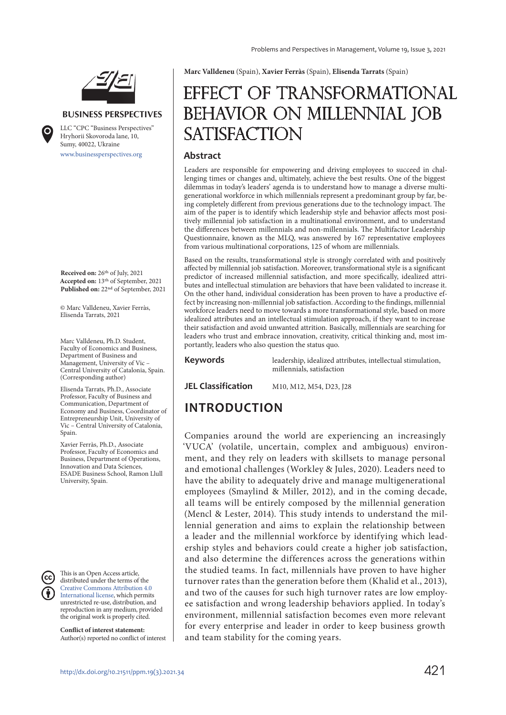

#### **BUSINESS PERSPECTIVES**

www.businessperspectives.org LLC "СPС "Business Perspectives" Hryhorii Skovoroda lane, 10, Sumy, 40022, Ukraine

**Received on:** 26th of July, 2021 **Accepted on:** 13th of September, 2021 **Published on:** 22nd of September, 2021

© Marc Valldeneu, Xavier Ferràs, Elisenda Tarrats, 2021

Marc Valldeneu, Ph.D. Student, Faculty of Economics and Business, Department of Business and Management, University of Vic – Central University of Catalonia, Spain. (Corresponding author)

Elisenda Tarrats, Ph.D., Associate Professor, Faculty of Business and Communication, Department of Economy and Business, Coordinator of Entrepreneurship Unit, University of Vic – Central University of Catalonia, Spain.

Xavier Ferràs, Ph.D., Associate Professor, Faculty of Economics and Business, Department of Operations, Innovation and Data Sciences, ESADE Business School, Ramon Llull University, Spain.

This is an Open Access article, distributed under the terms of the Creative Commons Attribution 4.0 International license, which permits unrestricted re-use, distribution, and reproduction in any medium, provided the original work is properly cited.

**Conflict of interest statement:**  Author(s) reported no conflict of interest **Marc Valldeneu** (Spain), **Xavier Ferràs** (Spain), **Elisenda Tarrats** (Spain)

# Effect of transformational BEHAVIOR ON MILLENNIAL JOB **SATISFACTION**

#### **Abstract**

Leaders are responsible for empowering and driving employees to succeed in challenging times or changes and, ultimately, achieve the best results. One of the biggest dilemmas in today's leaders' agenda is to understand how to manage a diverse multigenerational workforce in which millennials represent a predominant group by far, being completely different from previous generations due to the technology impact. The aim of the paper is to identify which leadership style and behavior affects most positively millennial job satisfaction in a multinational environment, and to understand the differences between millennials and non-millennials. The Multifactor Leadership Questionnaire, known as the MLQ, was answered by 167 representative employees from various multinational corporations, 125 of whom are millennials.

Based on the results, transformational style is strongly correlated with and positively affected by millennial job satisfaction. Moreover, transformational style is a significant predictor of increased millennial satisfaction, and more specifically, idealized attributes and intellectual stimulation are behaviors that have been validated to increase it. On the other hand, individual consideration has been proven to have a productive effect by increasing non-millennial job satisfaction. According to the findings, millennial workforce leaders need to move towards a more transformational style, based on more idealized attributes and an intellectual stimulation approach, if they want to increase their satisfaction and avoid unwanted attrition. Basically, millennials are searching for leaders who trust and embrace innovation, creativity, critical thinking and, most importantly, leaders who also question the status quo.

**Keywords** leadership, idealized attributes, intellectual stimulation, millennials, satisfaction

**JEL Classification** M10, M12, M54, D23, J28

## **INTRODUCTION**

Companies around the world are experiencing an increasingly 'VUCA' (volatile, uncertain, complex and ambiguous) environment, and they rely on leaders with skillsets to manage personal and emotional challenges (Workley & Jules, 2020). Leaders need to have the ability to adequately drive and manage multigenerational employees (Smaylind & Miller, 2012), and in the coming decade, all teams will be entirely composed by the millennial generation (Mencl & Lester, 2014). This study intends to understand the millennial generation and aims to explain the relationship between a leader and the millennial workforce by identifying which leadership styles and behaviors could create a higher job satisfaction, and also determine the differences across the generations within the studied teams. In fact, millennials have proven to have higher turnover rates than the generation before them (Khalid et al., 2013), and two of the causes for such high turnover rates are low employee satisfaction and wrong leadership behaviors applied. In today's environment, millennial satisfaction becomes even more relevant for every enterprise and leader in order to keep business growth and team stability for the coming years.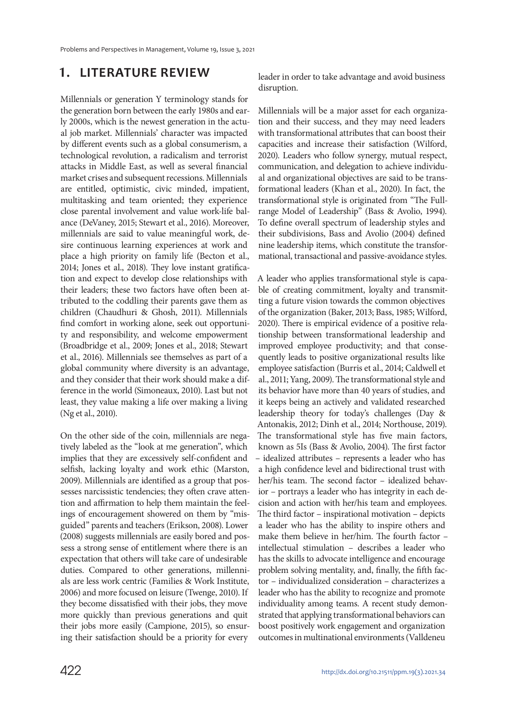## **1. LITERATURE REVIEW**

Millennials or generation Y terminology stands for the generation born between the early 1980s and early 2000s, which is the newest generation in the actual job market. Millennials' character was impacted by different events such as a global consumerism, a technological revolution, a radicalism and terrorist attacks in Middle East, as well as several financial market crises and subsequent recessions. Millennials are entitled, optimistic, civic minded, impatient, multitasking and team oriented; they experience close parental involvement and value work-life balance (DeVaney, 2015; Stewart et al., 2016). Moreover, millennials are said to value meaningful work, desire continuous learning experiences at work and place a high priority on family life (Becton et al., 2014; Jones et al., 2018). They love instant gratification and expect to develop close relationships with their leaders; these two factors have often been attributed to the coddling their parents gave them as children (Chaudhuri & Ghosh, 2011). Millennials find comfort in working alone, seek out opportunity and responsibility, and welcome empowerment (Broadbridge et al., 2009; Jones et al., 2018; Stewart et al., 2016). Millennials see themselves as part of a global community where diversity is an advantage, and they consider that their work should make a difference in the world (Simoneaux, 2010). Last but not least, they value making a life over making a living (Ng et al., 2010).

On the other side of the coin, millennials are negatively labeled as the "look at me generation", which implies that they are excessively self-confident and selfish, lacking loyalty and work ethic (Marston, 2009). Millennials are identified as a group that possesses narcissistic tendencies; they often crave attention and affirmation to help them maintain the feelings of encouragement showered on them by "misguided" parents and teachers (Erikson, 2008). Lower (2008) suggests millennials are easily bored and possess a strong sense of entitlement where there is an expectation that others will take care of undesirable duties. Compared to other generations, millennials are less work centric (Families & Work Institute, 2006) and more focused on leisure (Twenge, 2010). If they become dissatisfied with their jobs, they move more quickly than previous generations and quit their jobs more easily (Campione, 2015), so ensuring their satisfaction should be a priority for every

leader in order to take advantage and avoid business disruption.

Millennials will be a major asset for each organization and their success, and they may need leaders with transformational attributes that can boost their capacities and increase their satisfaction (Wilford, 2020). Leaders who follow synergy, mutual respect, communication, and delegation to achieve individual and organizational objectives are said to be transformational leaders (Khan et al., 2020). In fact, the transformational style is originated from "The Fullrange Model of Leadership" (Bass & Avolio, 1994). To define overall spectrum of leadership styles and their subdivisions, Bass and Avolio (2004) defined nine leadership items, which constitute the transformational, transactional and passive-avoidance styles.

A leader who applies transformational style is capable of creating commitment, loyalty and transmitting a future vision towards the common objectives of the organization (Baker, 2013; Bass, 1985; Wilford, 2020). There is empirical evidence of a positive relationship between transformational leadership and improved employee productivity; and that consequently leads to positive organizational results like employee satisfaction (Burris et al., 2014; Caldwell et al., 2011; Yang, 2009). The transformational style and its behavior have more than 40 years of studies, and it keeps being an actively and validated researched leadership theory for today's challenges (Day & Antonakis, 2012; Dinh et al., 2014; Northouse, 2019). The transformational style has five main factors, known as 5Is (Bass & Avolio, 2004). The first factor – idealized attributes – represents a leader who has a high confidence level and bidirectional trust with her/his team. The second factor – idealized behavior – portrays a leader who has integrity in each decision and action with her/his team and employees. The third factor – inspirational motivation – depicts a leader who has the ability to inspire others and make them believe in her/him. The fourth factor – intellectual stimulation – describes a leader who has the skills to advocate intelligence and encourage problem solving mentality, and, finally, the fifth factor – individualized consideration – characterizes a leader who has the ability to recognize and promote individuality among teams. A recent study demonstrated that applying transformational behaviors can boost positively work engagement and organization outcomes in multinational environments (Valldeneu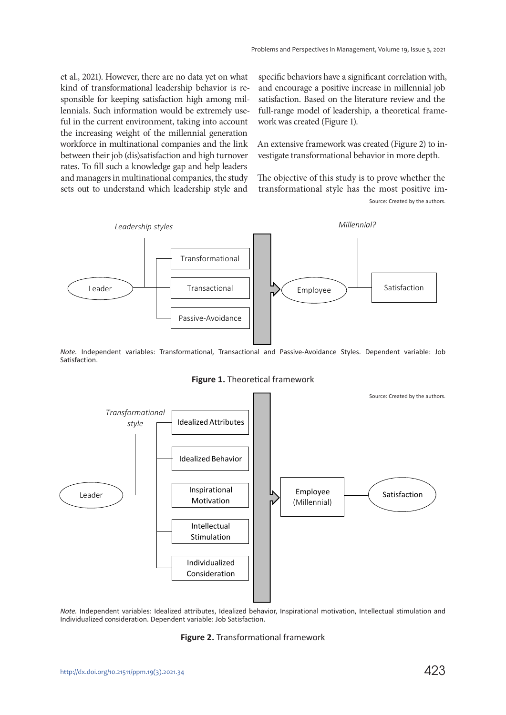et al., 2021). However, there are no data yet on what kind of transformational leadership behavior is responsible for keeping satisfaction high among millennials. Such information would be extremely useful in the current environment, taking into account the increasing weight of the millennial generation workforce in multinational companies and the link between their job (dis)satisfaction and high turnover rates. To fill such a knowledge gap and help leaders and managers in multinational companies, the study sets out to understand which leadership style and

specific behaviors have a significant correlation with, and encourage a positive increase in millennial job satisfaction. Based on the literature review and the full-range model of leadership, a theoretical framework was created (Figure 1).

An extensive framework was created (Figure 2) to investigate transformational behavior in more depth.

The objective of this study is to prove whether the transformational style has the most positive im-Source: Created by the authors.



*Note.* Independent variables: Transformational, Transactional and Passive-Avoidance Styles. Dependent variable: Job Satisfaction.





*Note.* Independent variables: Idealized attributes, Idealized behavior, Inspirational motivation, Intellectual stimulation and Individualized consideration. Dependent variable: Job Satisfaction.

#### **Figure 2.** Transformational framework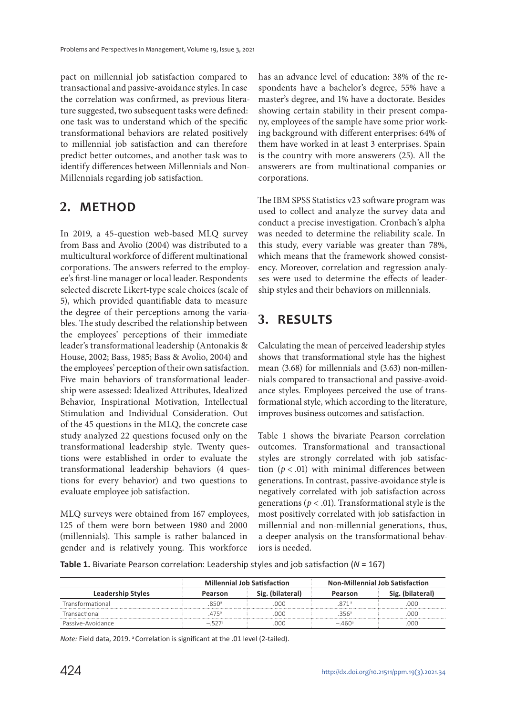pact on millennial job satisfaction compared to transactional and passive-avoidance styles. In case the correlation was confirmed, as previous literature suggested, two subsequent tasks were defined: one task was to understand which of the specific transformational behaviors are related positively to millennial job satisfaction and can therefore predict better outcomes, and another task was to identify differences between Millennials and Non-Millennials regarding job satisfaction.

## **2. METHOD**

In 2019, a 45-question web-based MLQ survey from Bass and Avolio (2004) was distributed to a multicultural workforce of different multinational corporations. The answers referred to the employee's first-line manager or local leader. Respondents selected discrete Likert-type scale choices (scale of 5), which provided quantifiable data to measure the degree of their perceptions among the variables. The study described the relationship between the employees' perceptions of their immediate leader's transformational leadership (Antonakis & House, 2002; Bass, 1985; Bass & Avolio, 2004) and the employees' perception of their own satisfaction. Five main behaviors of transformational leadership were assessed: Idealized Attributes, Idealized Behavior, Inspirational Motivation, Intellectual Stimulation and Individual Consideration. Out of the 45 questions in the MLQ, the concrete case study analyzed 22 questions focused only on the transformational leadership style. Twenty questions were established in order to evaluate the transformational leadership behaviors (4 questions for every behavior) and two questions to evaluate employee job satisfaction.

MLQ surveys were obtained from 167 employees, 125 of them were born between 1980 and 2000 (millennials). This sample is rather balanced in gender and is relatively young. This workforce

has an advance level of education: 38% of the respondents have a bachelor's degree, 55% have a master's degree, and 1% have a doctorate. Besides showing certain stability in their present company, employees of the sample have some prior working background with different enterprises: 64% of them have worked in at least 3 enterprises. Spain is the country with more answerers (25). All the answerers are from multinational companies or corporations.

The IBM SPSS Statistics v23 software program was used to collect and analyze the survey data and conduct a precise investigation. Cronbach's alpha was needed to determine the reliability scale. In this study, every variable was greater than 78%, which means that the framework showed consistency. Moreover, correlation and regression analyses were used to determine the effects of leadership styles and their behaviors on millennials.

# **3. RESULTS**

Calculating the mean of perceived leadership styles shows that transformational style has the highest mean (3.68) for millennials and (3.63) non-millennials compared to transactional and passive-avoidance styles. Employees perceived the use of transformational style, which according to the literature, improves business outcomes and satisfaction.

Table 1 shows the bivariate Pearson correlation outcomes. Transformational and transactional styles are strongly correlated with job satisfaction ( $p < .01$ ) with minimal differences between generations. In contrast, passive-avoidance style is negatively correlated with job satisfaction across generations ( $p < .01$ ). Transformational style is the most positively correlated with job satisfaction in millennial and non-millennial generations, thus, a deeper analysis on the transformational behaviors is needed.

**Table 1.** Bivariate Pearson correlation: Leadership styles and job satisfaction (*N* = 167)

|                          |         | <b>Millennial Job Satisfaction</b> | <b>Non-Millennial Job Satisfaction</b> |          |  |
|--------------------------|---------|------------------------------------|----------------------------------------|----------|--|
| <b>Leadership Styles</b> | Pearson | ilateral)<br>Pearson               |                                        | lateral' |  |
| Transformational         | .850ª   | 000                                |                                        | 000      |  |
| Transactional            | 475ª    | 000                                |                                        | 000      |  |
| Passive-Avoidance        |         | റററ                                | $-460^{\circ}$                         | nnr      |  |

*Note: Field data, 2019.* <sup>a</sup> Correlation is significant at the .01 level (2-tailed).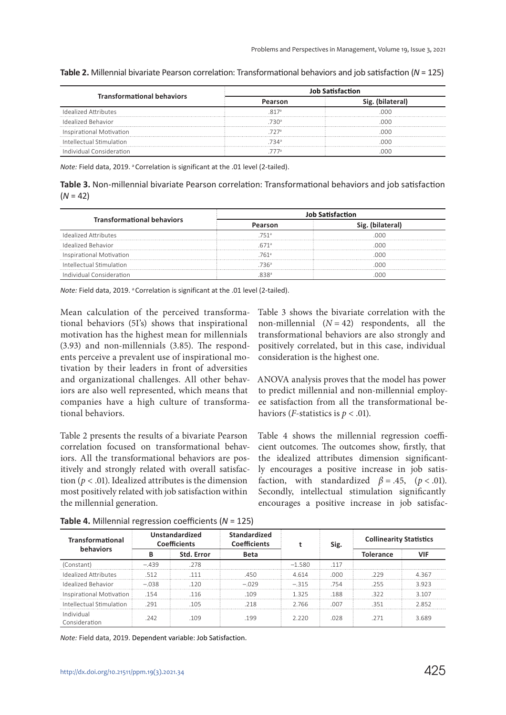|                                   | <b>Job Satisfaction</b> |                  |  |  |
|-----------------------------------|-------------------------|------------------|--|--|
| <b>Transformational behaviors</b> |                         | Sig. (bilateral) |  |  |
| <b>Idealized Attributes</b>       |                         |                  |  |  |
| Idealized Behavior                | 730 <sup>a</sup>        |                  |  |  |
| Inspirational Motivation          | 727ª                    |                  |  |  |
| Intellectual Stimulation          | 734ª                    |                  |  |  |
| Individual Consideration          |                         |                  |  |  |

**Table 2.** Millennial bivariate Pearson correlation: Transformational behaviors and job satisfaction (*N* = 125)

*Note:* Field data, 2019. <sup>a</sup> Correlation is significant at the .01 level (2-tailed).

**Table 3.** Non-millennial bivariate Pearson correlation: Transformational behaviors and job satisfaction (*N* = 42)

| <b>Transformational behaviors</b> | <b>Job Satisfaction</b> |                  |  |  |
|-----------------------------------|-------------------------|------------------|--|--|
|                                   |                         | Sig. (bilateral) |  |  |
| <b>Idealized Attributes</b>       | 751 <sup>a</sup>        | റററ              |  |  |
| Idealized Behavior                | 671 <sup>a</sup>        | nnn              |  |  |
| Inspirational Motivation          | 761 <sup>a</sup>        | nnn              |  |  |
| Intellectual Stimulation          | 736ª                    | റററ              |  |  |
| Individual Consideration          | 9.38 <sup>5</sup>       |                  |  |  |

*Note:* Field data, 2019. <sup>a</sup> Correlation is significant at the .01 level (2-tailed).

Mean calculation of the perceived transformational behaviors (5I's) shows that inspirational motivation has the highest mean for millennials (3.93) and non-millennials (3.85). The respondents perceive a prevalent use of inspirational motivation by their leaders in front of adversities and organizational challenges. All other behaviors are also well represented, which means that companies have a high culture of transformational behaviors.

Table 2 presents the results of a bivariate Pearson correlation focused on transformational behaviors. All the transformational behaviors are positively and strongly related with overall satisfaction ( $p < .01$ ). Idealized attributes is the dimension most positively related with job satisfaction within the millennial generation.

Table 3 shows the bivariate correlation with the non-millennial  $(N = 42)$  respondents, all the transformational behaviors are also strongly and positively correlated, but in this case, individual consideration is the highest one.

ANOVA analysis proves that the model has power to predict millennial and non-millennial employee satisfaction from all the transformational behaviors (*F*-statistics is  $p < .01$ ).

Table 4 shows the millennial regression coefficient outcomes. The outcomes show, firstly, that the idealized attributes dimension significantly encourages a positive increase in job satisfaction, with standardized  $\beta = .45$ ,  $(p < .01)$ . Secondly, intellectual stimulation significantly encourages a positive increase in job satisfac-

| <b>Transformational</b><br>behaviors | Unstandardized<br><b>Coefficients</b> |            | <b>Standardized</b><br><b>Coefficients</b> |          | Sig. | <b>Collinearity Statistics</b> |         |
|--------------------------------------|---------------------------------------|------------|--------------------------------------------|----------|------|--------------------------------|---------|
|                                      |                                       | Std. Error | Beta                                       |          |      | <b>Tolerance</b>               | VIF     |
| (Constant)                           | $-.439$                               | 278        |                                            | $-1.580$ | 117  |                                |         |
| Idealized Attributes                 | 512                                   | 111        | 450                                        | 4 6 1 4  | റററ  | 229                            | 4367    |
| Idealized Behavior                   | $-038$                                | 120        | $-029$                                     | $-315$   | 754  | 255                            | 3923    |
| Inspirational Motivation             | 154                                   | 116        | 109                                        | 1325     | 188  | 322                            | 3 1 0 7 |
| Intellectual Stimulation             | 291                                   | -105       | 218                                        | 2.766    | .007 | 351                            | 2.852   |
| Individual<br>Consideration          | 242                                   | 109        | 199                                        | 2 220    | 028  | 271                            | 3689    |

**Table 4.** Millennial regression coefficients (*N* = 125)

*Note:* Field data, 2019. Dependent variable: Job Satisfaction.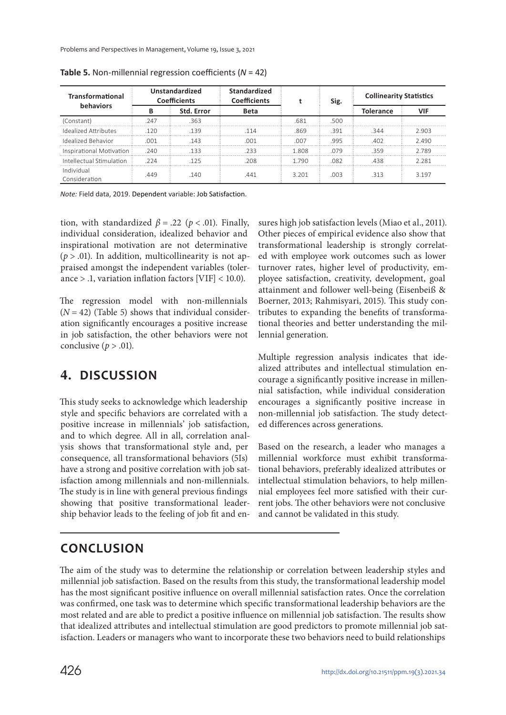Problems and Perspectives in Management, Volume 19, Issue 3, 2021

| <b>Transformational</b><br>behaviors | Unstandardized<br><b>Coefficients</b> |            | <b>Standardized</b><br><b>Coefficients</b> |       | Sig. | <b>Collinearity Statistics</b> |         |
|--------------------------------------|---------------------------------------|------------|--------------------------------------------|-------|------|--------------------------------|---------|
|                                      |                                       | Std. Error | <b>Beta</b>                                |       |      | <b>Tolerance</b>               |         |
| (Constant)                           | 247                                   | 363        |                                            | .681  | .500 |                                |         |
| Idealized Attributes                 | 120                                   | 139        | 114                                        | .869  | .391 | 344                            | 2903    |
| Idealized Behavior                   | 001                                   | 143        | 001                                        | 007   | 995  | 402                            | 2.490   |
| Inspirational Motivation             | 240                                   | 133        | つろろ                                        | 1808  | 079  | 359                            | 2789    |
| Intellectual Stimulation             | 224                                   | 125        | 208                                        | 1790  | 082  | 438                            | 2281    |
| Individual<br>Consideration          | 449                                   | 140        | 441                                        | 3 201 | COO. | 313                            | 3 1 9 7 |

**Table 5.** Non-millennial regression coefficients (*N* = 42)

*Note:* Field data, 2019. Dependent variable: Job Satisfaction.

tion, with standardized  $\beta = .22$  ( $p < .01$ ). Finally, individual consideration, idealized behavior and inspirational motivation are not determinative  $(p > .01)$ . In addition, multicollinearity is not appraised amongst the independent variables (tolerance  $> 0.1$ , variation inflation factors [VIF]  $< 10.0$ ).

The regression model with non-millennials  $(N = 42)$  (Table 5) shows that individual consideration significantly encourages a positive increase in job satisfaction, the other behaviors were not conclusive ( $p > .01$ ).

## **4. DISCUSSION**

This study seeks to acknowledge which leadership style and specific behaviors are correlated with a positive increase in millennials' job satisfaction, and to which degree. All in all, correlation analysis shows that transformational style and, per consequence, all transformational behaviors (5Is) have a strong and positive correlation with job satisfaction among millennials and non-millennials. The study is in line with general previous findings showing that positive transformational leadership behavior leads to the feeling of job fit and ensures high job satisfaction levels (Miao et al., 2011). Other pieces of empirical evidence also show that transformational leadership is strongly correlated with employee work outcomes such as lower turnover rates, higher level of productivity, employee satisfaction, creativity, development, goal attainment and follower well-being (Eisenbeiß & Boerner, 2013; Rahmisyari, 2015). This study contributes to expanding the benefits of transformational theories and better understanding the millennial generation.

Multiple regression analysis indicates that idealized attributes and intellectual stimulation encourage a significantly positive increase in millennial satisfaction, while individual consideration encourages a significantly positive increase in non-millennial job satisfaction. The study detected differences across generations.

Based on the research, a leader who manages a millennial workforce must exhibit transformational behaviors, preferably idealized attributes or intellectual stimulation behaviors, to help millennial employees feel more satisfied with their current jobs. The other behaviors were not conclusive and cannot be validated in this study.

## **CONCLUSION**

The aim of the study was to determine the relationship or correlation between leadership styles and millennial job satisfaction. Based on the results from this study, the transformational leadership model has the most significant positive influence on overall millennial satisfaction rates. Once the correlation was confirmed, one task was to determine which specific transformational leadership behaviors are the most related and are able to predict a positive influence on millennial job satisfaction. The results show that idealized attributes and intellectual stimulation are good predictors to promote millennial job satisfaction. Leaders or managers who want to incorporate these two behaviors need to build relationships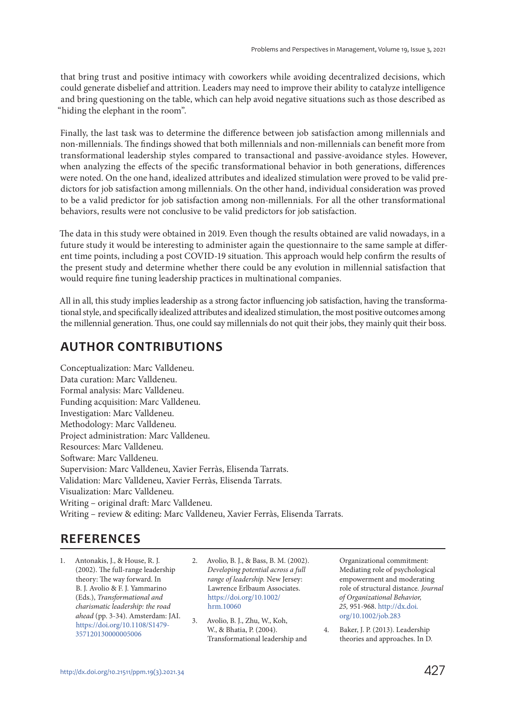that bring trust and positive intimacy with coworkers while avoiding decentralized decisions, which could generate disbelief and attrition. Leaders may need to improve their ability to catalyze intelligence and bring questioning on the table, which can help avoid negative situations such as those described as "hiding the elephant in the room".

Finally, the last task was to determine the difference between job satisfaction among millennials and non-millennials. The findings showed that both millennials and non-millennials can benefit more from transformational leadership styles compared to transactional and passive-avoidance styles. However, when analyzing the effects of the specific transformational behavior in both generations, differences were noted. On the one hand, idealized attributes and idealized stimulation were proved to be valid predictors for job satisfaction among millennials. On the other hand, individual consideration was proved to be a valid predictor for job satisfaction among non-millennials. For all the other transformational behaviors, results were not conclusive to be valid predictors for job satisfaction.

The data in this study were obtained in 2019. Even though the results obtained are valid nowadays, in a future study it would be interesting to administer again the questionnaire to the same sample at different time points, including a post COVID-19 situation. This approach would help confirm the results of the present study and determine whether there could be any evolution in millennial satisfaction that would require fine tuning leadership practices in multinational companies.

All in all, this study implies leadership as a strong factor influencing job satisfaction, having the transformational style, and specifically idealized attributes and idealized stimulation, the most positive outcomes among the millennial generation. Thus, one could say millennials do not quit their jobs, they mainly quit their boss.

## **AUTHOR CONTRIBUTIONS**

Conceptualization: Marc Valldeneu. Data curation: Marc Valldeneu. Formal analysis: Marc Valldeneu. Funding acquisition: Marc Valldeneu. Investigation: Marc Valldeneu. Methodology: Marc Valldeneu. Project administration: Marc Valldeneu. Resources: Marc Valldeneu. Software: Marc Valldeneu. Supervision: Marc Valldeneu, Xavier Ferràs, Elisenda Tarrats. Validation: Marc Valldeneu, Xavier Ferràs, Elisenda Tarrats. Visualization: Marc Valldeneu. Writing – original draft: Marc Valldeneu. Writing – review & editing: Marc Valldeneu, Xavier Ferràs, Elisenda Tarrats.

## **REFERENCES**

- 1. Antonakis, J., & House, R. J. (2002). The full-range leadership theory: The way forward. In B. J. Avolio & F. J. Yammarino (Eds.), Transformational and charismatic leadership: the road ahead (pp. 3-34). Amsterdam: JAI. https://doi.org/10.1108/S1479- 357120130000005006
- 2. Avolio, B. J., & Bass, B. M. (2002). Developing potential across a full range of leadership. New Jersey: Lawrence Erlbaum Associates. https://doi.org/10.1002/ hrm.10060
- 3. Avolio, B. J., Zhu, W., Koh, W., & Bhatia, P. (2004). Transformational leadership and

Organizational commitment: Mediating role of psychological empowerment and moderating role of structural distance. Journal of Organizational Behavior, 25, 951-968. http://dx.doi. org/10.1002/job.283

4. Baker, J. P. (2013). Leadership theories and approaches. In D.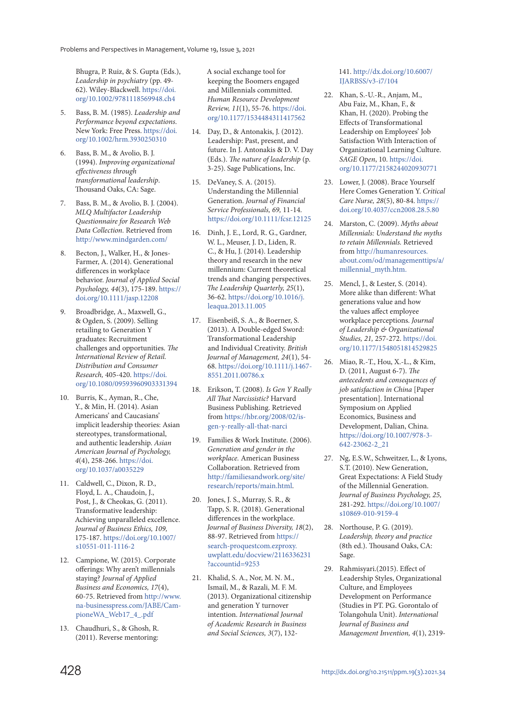Bhugra, P. Ruiz, & S. Gupta (Eds.), Leadership in psychiatry (pp. 49- 62). Wiley-Blackwell. https://doi. org/10.1002/9781118569948.ch4

- 5. Bass, B. M. (1985). Leadership and Performance beyond expectations. New York: Free Press. https://doi. org/10.1002/hrm.3930250310
- 6. Bass, B. M., & Avolio, B. J. (1994). Improving organizational effectiveness through transformational leadership. Thousand Oaks, CA: Sage.
- 7. Bass, B. M., & Avolio, B. J. (2004). MLQ Multifactor Leadership Questionnaire for Research Web Data Collection. Retrieved from http://www.mindgarden.com/
- 8. Becton, J., Walker, H., & Jones-Farmer, A. (2014). Generational differences in workplace behavior. Journal of Applied Social Psychology, 44(3), 175-189. https:// doi.org/10.1111/jasp.12208
- 9. Broadbridge, A., Maxwell, G., & Ogden, S. (2009). Selling retailing to Generation Y graduates: Recruitment challenges and opportunities. The International Review of Retail. Distribution and Consumer Research, 405-420. https://doi. org/10.1080/09593960903331394
- 10. Burris, K., Ayman, R., Che, Y., & Min, H. (2014). Asian Americans' and Caucasians' implicit leadership theories: Asian stereotypes, transformational, and authentic leadership. Asian American Journal of Psychology, 4(4), 258-266. https://doi. org/10.1037/a0035229
- 11. Caldwell, C., Dixon, R. D., Floyd, L. A., Chaudoin, J., Post, J., & Cheokas, G. (2011). Transformative leadership: Achieving unparalleled excellence. Journal of Business Ethics, 109, 175-187. https://doi.org/10.1007/ s10551-011-1116-2
- 12. Campione, W. (2015). Corporate offerings: Why aren't millennials staying? Journal of Applied Business and Economics, 17(4), 60-75. Retrieved from http://www. na-businesspress.com/JABE/CampioneWA\_Web17\_4\_.pdf
- 13. Chaudhuri, S., & Ghosh, R. (2011). Reverse mentoring:

A social exchange tool for keeping the Boomers engaged and Millennials committed. Human Resource Development Review, 11(1), 55-76. https://doi. org/10.1177/1534484311417562

- 14. Day, D., & Antonakis, J. (2012). Leadership: Past, present, and future. In J. Antonakis & D. V. Day (Eds.). The nature of leadership (p. 3-25). Sage Publications, Inc.
- 15. DeVaney, S. A. (2015). Understanding the Millennial Generation. Journal of Financial Service Professionals, 69, 11-14. https://doi.org/10.1111/fcsr.12125
- 16. Dinh, J. E., Lord, R. G., Gardner, W. L., Meuser, J. D., Liden, R. C., & Hu, J. (2014). Leadership theory and research in the new millennium: Current theoretical trends and changing perspectives. The Leadership Quarterly, 25(1), 36-62. https://doi.org/10.1016/j. leaqua.2013.11.005
- 17. Eisenbeiß, S. A., & Boerner, S. (2013). A Double-edged Sword: Transformational Leadership and Individual Creativity. British Journal of Management, 24(1), 54- 68. https://doi.org/10.1111/j.1467- 8551.2011.00786.x
- 18. Erikson, T. (2008). Is Gen Y Really All That Narcissistic? Harvard Business Publishing. Retrieved from https://hbr.org/2008/02/isgen-y-really-all-that-narci
- 19. Families & Work Institute. (2006). Generation and gender in the workplace. American Business Collaboration. Retrieved from http://familiesandwork.org/site/ research/reports/main.html.
- 20. Jones, J. S., Murray, S. R., & Tapp, S. R. (2018). Generational differences in the workplace. Journal of Business Diversity, 18(2), 88-97. Retrieved from https:// search-proquestcom.ezproxy. uwplatt.edu/docview/2116336231 ?accountid=9253
- 21. Khalid, S. A., Nor, M. N. M., Ismail, M., & Razali, M. F. M. (2013). Organizational citizenship and generation Y turnover intention. International Journal of Academic Research in Business and Social Sciences, 3(7), 132-

#### 141. http://dx.doi.org/10.6007/ IJARBSS/v3-i7/104

- 22. Khan, S.-U.-R., Anjam, M., Abu Faiz, M., Khan, F., & Khan, H. (2020). Probing the Effects of Transformational Leadership on Employees' Job Satisfaction With Interaction of Organizational Learning Culture. SAGE Open, 10. https://doi. org/10.1177/2158244020930771
- 23. Lower, J. (2008). Brace Yourself Here Comes Generation Y. Critical Care Nurse, 28(5), 80-84. https:// doi.org/10.4037/ccn2008.28.5.80
- 24. Marston, C. (2009). Myths about Millennials: Understand the myths to retain Millennials. Retrieved from http://humanresources. about.com/od/managementtips/a/ millennial\_myth.htm.
- 25. Mencl, J., & Lester, S. (2014). More alike than different: What generations value and how the values affect employee workplace perceptions. Journal of Leadership & Organizational Studies, 21, 257-272. https://doi. org/10.1177/1548051814529825
- 26. Miao, R.-T., Hou, X.-L., & Kim, D. (2011, August 6-7). The antecedents and consequences of job satisfaction in China [Paper presentation]. International Symposium on Applied Economics, Business and Development, Dalian, China. https://doi.org/10.1007/978-3- 642-23062-2\_21
- 27. Ng, E.S.W., Schweitzer, L., & Lyons, S.T. (2010). New Generation, Great Expectations: A Field Study of the Millennial Generation. Journal of Business Psychology, 25, 281-292. https://doi.org/10.1007/ s10869-010-9159-4
- 28. Northouse, P. G. (2019). Leadership, theory and practice (8th ed.). Thousand Oaks, CA: Sage.
- 29. Rahmisyari.(2015). Effect of Leadership Styles, Organizational Culture, and Employees Development on Performance (Studies in PT. PG. Gorontalo of Tolangohula Unit). International Journal of Business and Management Invention, 4(1), 2319-